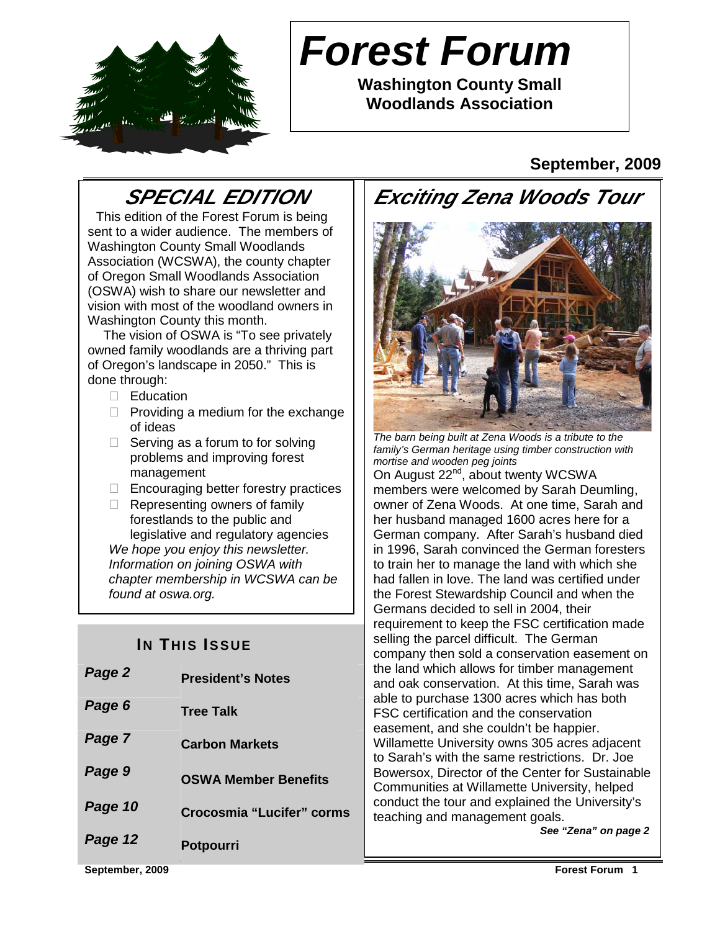

# **Forest Forum**

**Washington County Small Woodlands Association** 

## **September, 2009**

## **SPECIAL EDITION**

 This edition of the Forest Forum is being sent to a wider audience. The members of Washington County Small Woodlands Association (WCSWA), the county chapter of Oregon Small Woodlands Association (OSWA) wish to share our newsletter and vision with most of the woodland owners in Washington County this month.

 The vision of OSWA is "To see privately owned family woodlands are a thriving part of Oregon's landscape in 2050." This is done through:

Education

- Providing a medium for the exchange of ideas
- Serving as a forum to for solving problems and improving forest management
- Encouraging better forestry practices Representing owners of family forestlands to the public and legislative and regulatory agencies

We hope you enjoy this newsletter. Information on joining OSWA with chapter membership in WCSWA can be found at oswa.org.

## **IN THIS ISSUE**

| Page 2  | <b>President's Notes</b>    |
|---------|-----------------------------|
| Page 6  | <b>Tree Talk</b>            |
| Page 7  | <b>Carbon Markets</b>       |
| Page 9  | <b>OSWA Member Benefits</b> |
| Page 10 | Crocosmia "Lucifer" corms   |
| Page 12 | <b>Potpourri</b>            |





The barn being built at Zena Woods is a tribute to the family's German heritage using timber construction with mortise and wooden peg joints On August 22<sup>nd</sup>, about twenty WCSWA members were welcomed by Sarah Deumling, owner of Zena Woods. At one time, Sarah and her husband managed 1600 acres here for a German company. After Sarah's husband died in 1996, Sarah convinced the German foresters to train her to manage the land with which she had fallen in love. The land was certified under the Forest Stewardship Council and when the Germans decided to sell in 2004, their requirement to keep the FSC certification made selling the parcel difficult. The German company then sold a conservation easement on the land which allows for timber management and oak conservation. At this time, Sarah was able to purchase 1300 acres which has both FSC certification and the conservation easement, and she couldn't be happier. Willamette University owns 305 acres adjacent to Sarah's with the same restrictions. Dr. Joe Bowersox, Director of the Center for Sustainable Communities at Willamette University, helped conduct the tour and explained the University's teaching and management goals. **See "Zena" on page 2**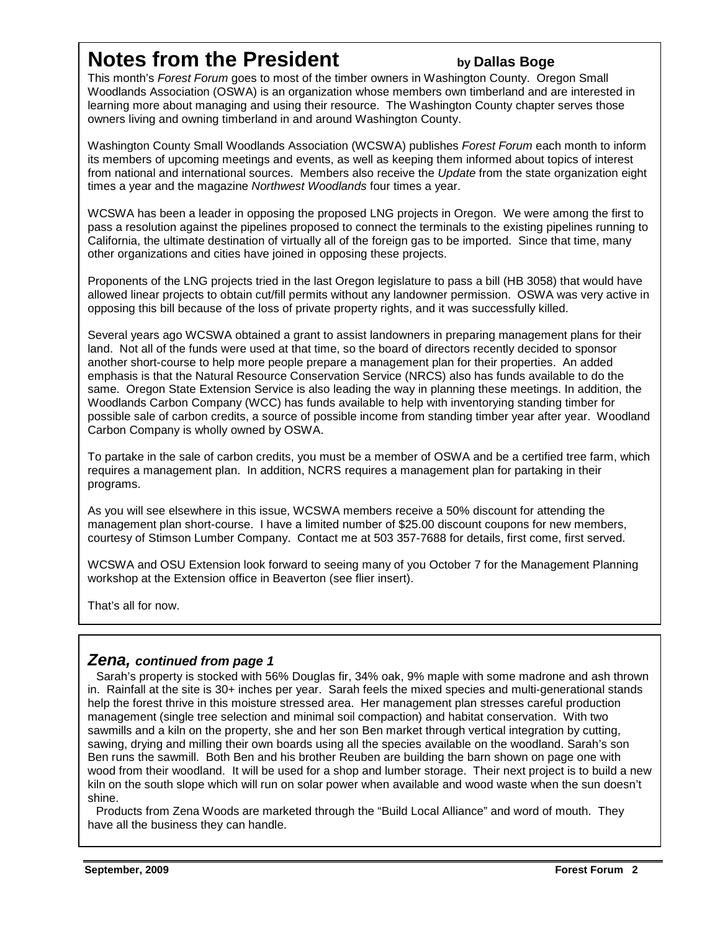## **Notes from the President by Dallas Boge**

This month's Forest Forum goes to most of the timber owners in Washington County. Oregon Small Woodlands Association (OSWA) is an organization whose members own timberland and are interested in learning more about managing and using their resource. The Washington County chapter serves those owners living and owning timberland in and around Washington County.

Washington County Small Woodlands Association (WCSWA) publishes Forest Forum each month to inform its members of upcoming meetings and events, as well as keeping them informed about topics of interest from national and international sources. Members also receive the Update from the state organization eight times a year and the magazine Northwest Woodlands four times a year.

WCSWA has been a leader in opposing the proposed LNG projects in Oregon. We were among the first to pass a resolution against the pipelines proposed to connect the terminals to the existing pipelines running to California, the ultimate destination of virtually all of the foreign gas to be imported. Since that time, many other organizations and cities have joined in opposing these projects.

Proponents of the LNG projects tried in the last Oregon legislature to pass a bill (HB 3058) that would have allowed linear projects to obtain cut/fill permits without any landowner permission. OSWA was very active in opposing this bill because of the loss of private property rights, and it was successfully killed.

Several years ago WCSWA obtained a grant to assist landowners in preparing management plans for their land. Not all of the funds were used at that time, so the board of directors recently decided to sponsor another short-course to help more people prepare a management plan for their properties. An added emphasis is that the Natural Resource Conservation Service (NRCS) also has funds available to do the same. Oregon State Extension Service is also leading the way in planning these meetings. In addition, the Woodlands Carbon Company (WCC) has funds available to help with inventorying standing timber for possible sale of carbon credits, a source of possible income from standing timber year after year. Woodland Carbon Company is wholly owned by OSWA.

To partake in the sale of carbon credits, you must be a member of OSWA and be a certified tree farm, which requires a management plan. In addition, NCRS requires a management plan for partaking in their programs.

As you will see elsewhere in this issue, WCSWA members receive a 50% discount for attending the management plan short-course. I have a limited number of \$25.00 discount coupons for new members, courtesy of Stimson Lumber Company. Contact me at 503 357-7688 for details, first come, first served.

WCSWA and OSU Extension look forward to seeing many of you October 7 for the Management Planning workshop at the Extension office in Beaverton (see flier insert).

That's all for now.

#### **Zena, continued from page 1**

Sarah's property is stocked with 56% Douglas fir, 34% oak, 9% maple with some madrone and ash thrown in. Rainfall at the site is 30+ inches per year. Sarah feels the mixed species and multi-generational stands help the forest thrive in this moisture stressed area. Her management plan stresses careful production management (single tree selection and minimal soil compaction) and habitat conservation. With two sawmills and a kiln on the property, she and her son Ben market through vertical integration by cutting, sawing, drying and milling their own boards using all the species available on the woodland. Sarah's son Ben runs the sawmill. Both Ben and his brother Reuben are building the barn shown on page one with wood from their woodland. It will be used for a shop and lumber storage. Their next project is to build a new kiln on the south slope which will run on solar power when available and wood waste when the sun doesn't shine.

 Products from Zena Woods are marketed through the "Build Local Alliance" and word of mouth. They have all the business they can handle.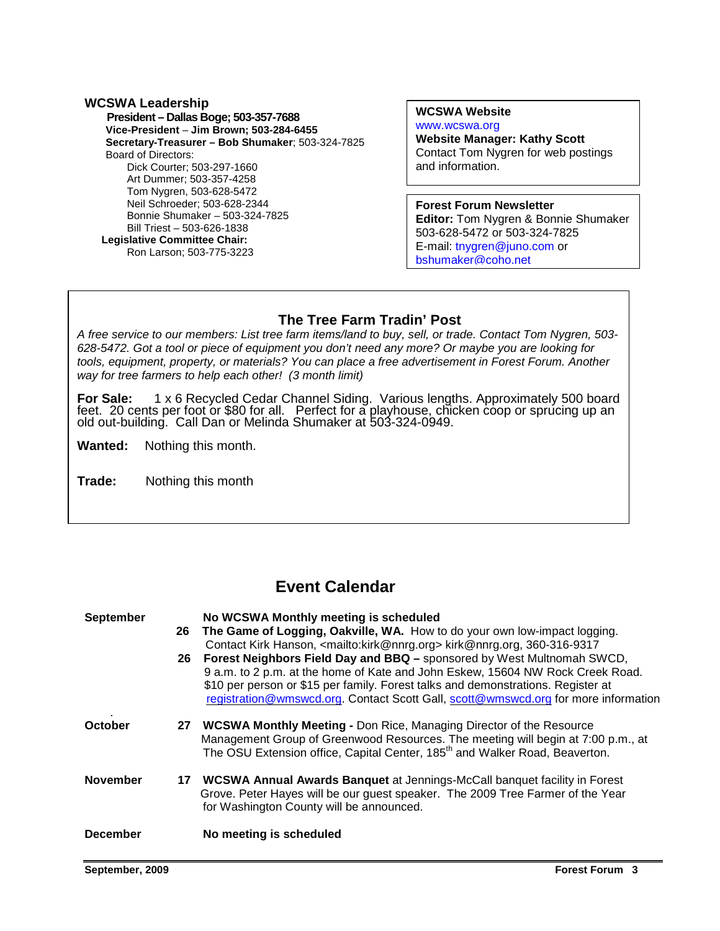## **WCSWA Leadership**

 **President – Dallas Boge; 503-357-7688 Vice-President** – **Jim Brown; 503-284-6455 Secretary-Treasurer – Bob Shumaker**; 503-324-7825 Board of Directors: Dick Courter; 503-297-1660 Art Dummer; 503-357-4258 Tom Nygren, 503-628-5472 Neil Schroeder; 503-628-2344 Bonnie Shumaker – 503-324-7825 Bill Triest – 503-626-1838  **Legislative Committee Chair:** 

Ron Larson; 503-775-3223

#### **WCSWA Website**

www.wcswa.org **Website Manager: Kathy Scott** Contact Tom Nygren for web postings and information.

**Forest Forum Newsletter Editor:** Tom Nygren & Bonnie Shumaker 503-628-5472 or 503-324-7825 E-mail: tnygren@juno.com or bshumaker@coho.net

### **The Tree Farm Tradin' Post**

A free service to our members. List tree rann liems/land to buy, sell, or trade. Contact Tom Tygren, C<br>628-5472. Got a tool or piece of equipment you don't need any more? Or maybe you are looking for A free service to our members: List tree farm items/land to buy, sell, or trade. Contact Tom Nygren, 503 tools, equipment, property, or materials? You can place a free advertisement in Forest Forum. Another way for tree farmers to help each other! (3 month limit)

**For Sale:** 1 x 6 Recycled Cedar Channel Siding. Various lengths. Approximately 500 board feet. 20 cents per foot or \$80 for all. Perfect for a playhouse, chicken coop or sprucing up an old out-building. Call Dan or Melinda Shumaker at 503-324-0949.

**Wanted:** Nothing this month.

**Trade:** Nothing this month

## **Event Calendar**

| <b>September</b> | 26<br>26 | No WCSWA Monthly meeting is scheduled<br>The Game of Logging, Oakville, WA. How to do your own low-impact logging.<br>Contact Kirk Hanson, <mailto:kirk@nnrg.org> kirk@nnrg.org, 360-316-9317<br/>Forest Neighbors Field Day and BBQ - sponsored by West Multnomah SWCD,<br/>9 a.m. to 2 p.m. at the home of Kate and John Eskew, 15604 NW Rock Creek Road.<br/>\$10 per person or \$15 per family. Forest talks and demonstrations. Register at<br/>registration@wmswcd.org. Contact Scott Gall, scott@wmswcd.org for more information</mailto:kirk@nnrg.org> |
|------------------|----------|----------------------------------------------------------------------------------------------------------------------------------------------------------------------------------------------------------------------------------------------------------------------------------------------------------------------------------------------------------------------------------------------------------------------------------------------------------------------------------------------------------------------------------------------------------------|
| October          | 27       | <b>WCSWA Monthly Meeting - Don Rice, Managing Director of the Resource</b><br>Management Group of Greenwood Resources. The meeting will begin at 7:00 p.m., at<br>The OSU Extension office, Capital Center, 185 <sup>th</sup> and Walker Road, Beaverton.                                                                                                                                                                                                                                                                                                      |
| <b>November</b>  |          | 17 WCSWA Annual Awards Banquet at Jennings-McCall banquet facility in Forest<br>Grove. Peter Hayes will be our guest speaker. The 2009 Tree Farmer of the Year<br>for Washington County will be announced.                                                                                                                                                                                                                                                                                                                                                     |
| <b>December</b>  |          | No meeting is scheduled                                                                                                                                                                                                                                                                                                                                                                                                                                                                                                                                        |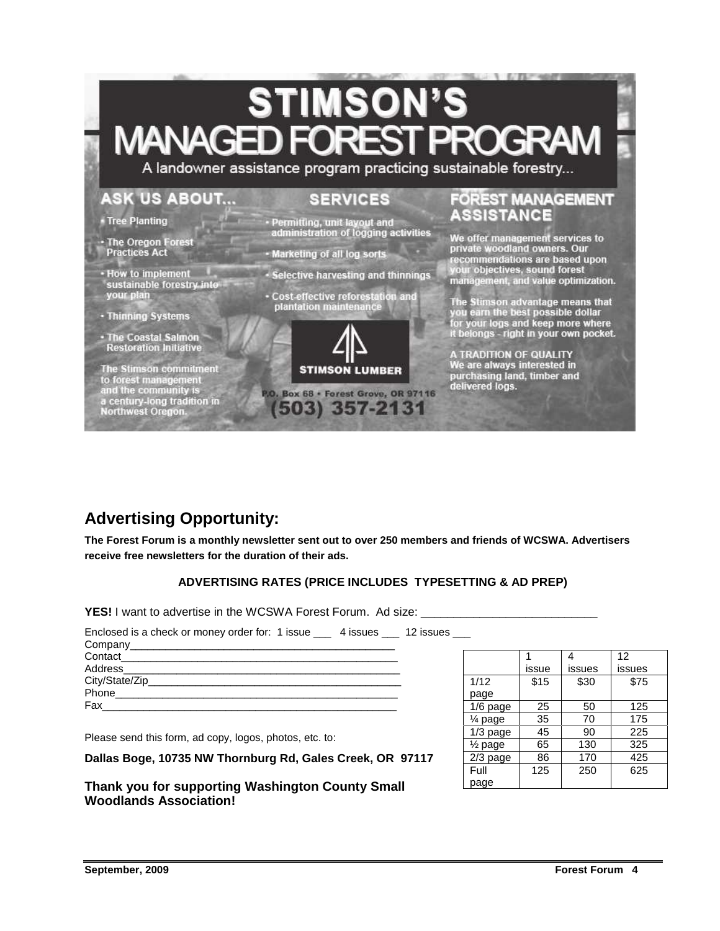# **STIMSON'S MANAGEI**

A landowner assistance program practicing sustainable forestry...

## **ASK US ABOUT...**

## **SERVICES**

- Tree Planting
- · The Oregon Forest<br>Practices Act
- · How to implement<br>sustainable forestry into your plan
- · Thinning Systems
- · The Coastal Salmon **Restoration Initiative**

The Stimson commitment to forest management<br>and the community is<br>a century-long tradition in<br>Northwest Oregon.

- Permitting, unit layout and<br>administration of logging activities
- Marketing of all log sorts
- · Selective harvesting and thinnings
- Cost-effective reforestation and<br>plantation maintenance



P.O. Box 68 · Forest Grove, OR 97116 (503) 357-2131

### **FOREST MANAGEMENT ASSISTANCE**

We offer management services to<br>private woodland owners. Our<br>recommendations are based upon your objectives, sound forest<br>management, and value optimization.

The Stimson advantage means that you earn the best possible dollar<br>for your logs and keep more where<br>it belongs - right in your own pocket.

A TRADITION OF QUALITY<br>We are always interested in<br>purchasing land, timber and delivered logs.

## **Advertising Opportunity:**

**The Forest Forum is a monthly newsletter sent out to over 250 members and friends of WCSWA. Advertisers receive free newsletters for the duration of their ads.** 

#### **ADVERTISING RATES (PRICE INCLUDES TYPESETTING & AD PREP)**

YES! I want to advertise in the WCSWA Forest Forum. Ad size:

| Enclosed is a check or money order for: 1 issue 4 issues 12 issues |  |
|--------------------------------------------------------------------|--|
|                                                                    |  |
|                                                                    |  |
|                                                                    |  |
|                                                                    |  |
|                                                                    |  |
| Fax ____________                                                   |  |

Please send this form, ad copy, logos, photos, etc. to:

**Dallas Boge, 10735 NW Thornburg Rd, Gales Creek, OR 97117** 

#### **Thank you for supporting Washington County Small Woodlands Association!**

|                      |       | 4      | 12     |
|----------------------|-------|--------|--------|
|                      | issue | issues | issues |
| 1/12                 | \$15  | \$30   | \$75   |
| page                 |       |        |        |
| 1/6 page             | 25    | 50     | 125    |
| 1⁄4 page             | 35    | 70     | 175    |
| $1/3$ page           | 45    | 90     | 225    |
| 1/ <sub>2</sub> page | 65    | 130    | 325    |
| $2/3$ page           | 86    | 170    | 425    |
| Full                 | 125   | 250    | 625    |
| page                 |       |        |        |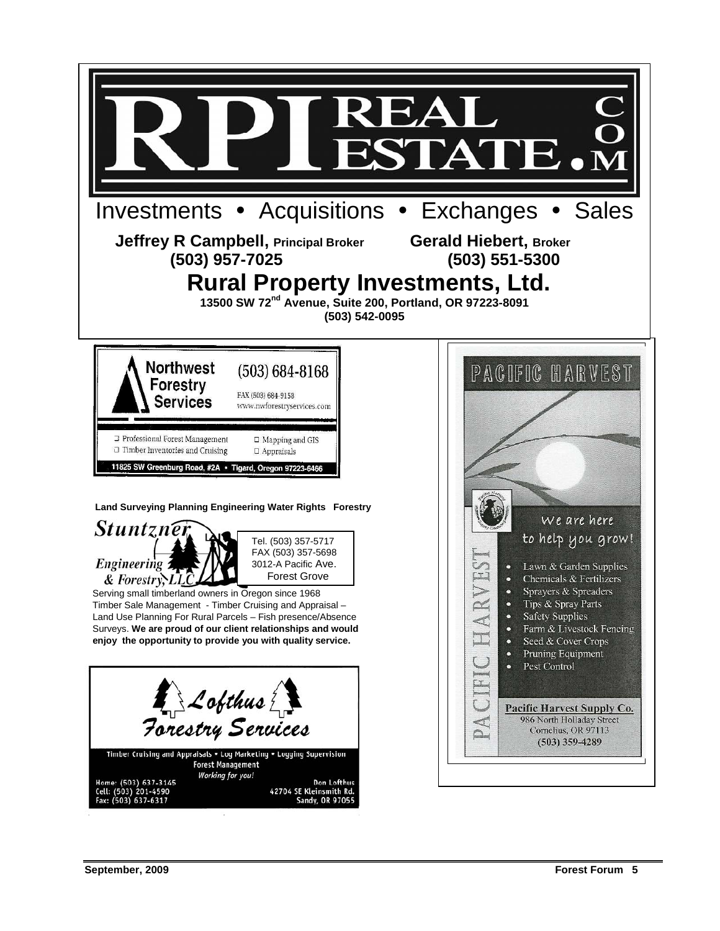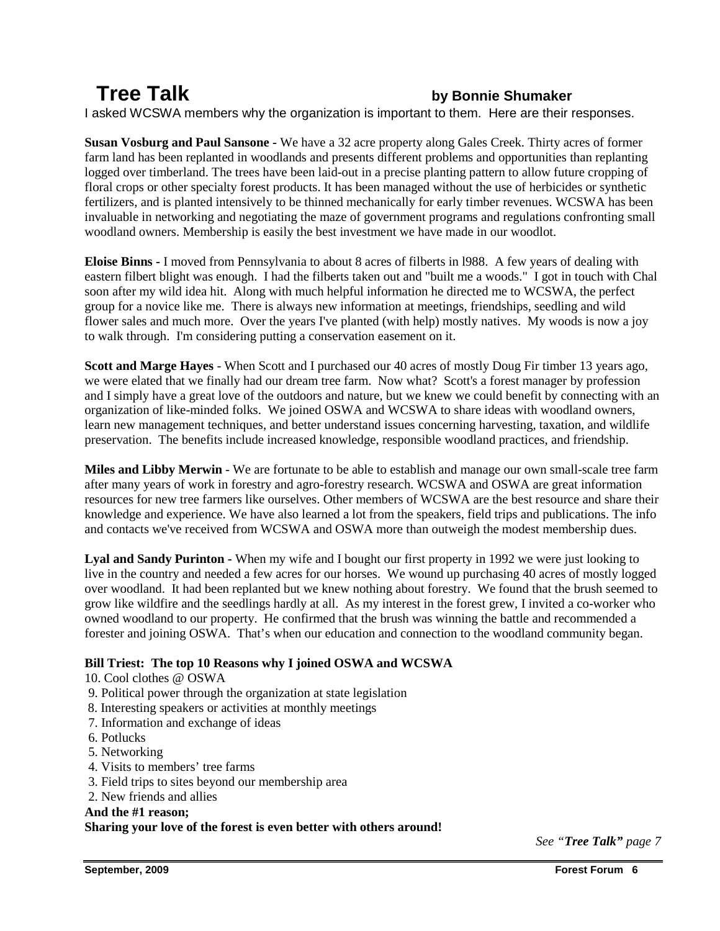## **Tree Talk by Bonnie Shumaker**

I asked WCSWA members why the organization is important to them. Here are their responses.

**Susan Vosburg and Paul Sansone -** We have a 32 acre property along Gales Creek. Thirty acres of former farm land has been replanted in woodlands and presents different problems and opportunities than replanting logged over timberland. The trees have been laid-out in a precise planting pattern to allow future cropping of floral crops or other specialty forest products. It has been managed without the use of herbicides or synthetic fertilizers, and is planted intensively to be thinned mechanically for early timber revenues. WCSWA has been invaluable in networking and negotiating the maze of government programs and regulations confronting small woodland owners. Membership is easily the best investment we have made in our woodlot.

**Eloise Binns -** I moved from Pennsylvania to about 8 acres of filberts in l988. A few years of dealing with eastern filbert blight was enough. I had the filberts taken out and "built me a woods." I got in touch with Chal soon after my wild idea hit. Along with much helpful information he directed me to WCSWA, the perfect group for a novice like me. There is always new information at meetings, friendships, seedling and wild flower sales and much more. Over the years I've planted (with help) mostly natives. My woods is now a joy to walk through. I'm considering putting a conservation easement on it.

**Scott and Marge Hayes** - When Scott and I purchased our 40 acres of mostly Doug Fir timber 13 years ago, we were elated that we finally had our dream tree farm. Now what? Scott's a forest manager by profession and I simply have a great love of the outdoors and nature, but we knew we could benefit by connecting with an organization of like-minded folks. We joined OSWA and WCSWA to share ideas with woodland owners, learn new management techniques, and better understand issues concerning harvesting, taxation, and wildlife preservation. The benefits include increased knowledge, responsible woodland practices, and friendship.

**Miles and Libby Merwin** - We are fortunate to be able to establish and manage our own small-scale tree farm after many years of work in forestry and agro-forestry research. WCSWA and OSWA are great information resources for new tree farmers like ourselves. Other members of WCSWA are the best resource and share their knowledge and experience. We have also learned a lot from the speakers, field trips and publications. The info and contacts we've received from WCSWA and OSWA more than outweigh the modest membership dues.

**Lyal and Sandy Purinton -** When my wife and I bought our first property in 1992 we were just looking to live in the country and needed a few acres for our horses. We wound up purchasing 40 acres of mostly logged over woodland. It had been replanted but we knew nothing about forestry. We found that the brush seemed to grow like wildfire and the seedlings hardly at all. As my interest in the forest grew, I invited a co-worker who owned woodland to our property. He confirmed that the brush was winning the battle and recommended a forester and joining OSWA. That's when our education and connection to the woodland community began.

#### **Bill Triest: The top 10 Reasons why I joined OSWA and WCSWA**

- 10. Cool clothes @ OSWA
- 9. Political power through the organization at state legislation
- 8. Interesting speakers or activities at monthly meetings
- 7. Information and exchange of ideas
- 6. Potlucks
- 5. Networking
- 4. Visits to members' tree farms
- 3. Field trips to sites beyond our membership area
- 2. New friends and allies

#### **And the #1 reason;**

#### **Sharing your love of the forest is even better with others around!**

*See "Tree Talk" page 7*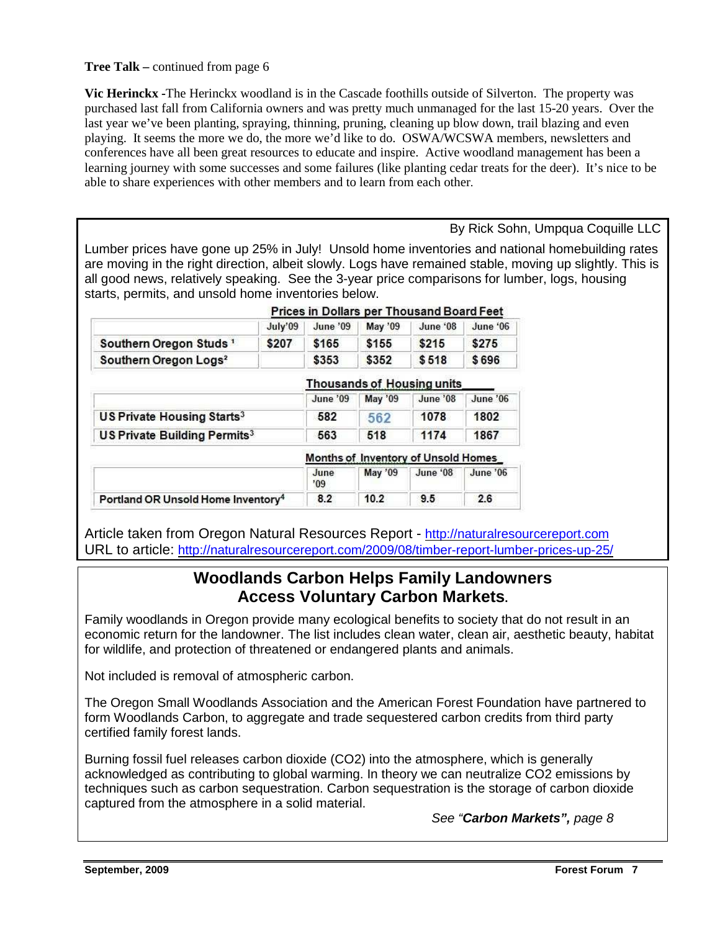#### **Tree Talk –** continued from page 6

**Vic Herinckx -**The Herinckx woodland is in the Cascade foothills outside of Silverton. The property was purchased last fall from California owners and was pretty much unmanaged for the last 15-20 years. Over the last year we've been planting, spraying, thinning, pruning, cleaning up blow down, trail blazing and even playing. It seems the more we do, the more we'd like to do. OSWA/WCSWA members, newsletters and conferences have all been great resources to educate and inspire. Active woodland management has been a learning journey with some successes and some failures (like planting cedar treats for the deer). It's nice to be able to share experiences with other members and to learn from each other.

By Rick Sohn, Umpqua Coquille LLC

Lumber prices have gone up 25% in July! Unsold home inventories and national homebuilding rates are moving in the right direction, albeit slowly. Logs have remained stable, moving up slightly. This is all good news, relatively speaking. See the 3-year price comparisons for lumber, logs, housing starts, permits, and unsold home inventories below.

Prices in Dollars per Thousand Board Feet

|                                          | July'09 | June '09 | May '09 | June '08                   | June '06 |
|------------------------------------------|---------|----------|---------|----------------------------|----------|
| Southern Oregon Studs <sup>1</sup>       | \$207   | \$165    | \$155   | \$215                      | \$275    |
| Southern Oregon Logs <sup>2</sup>        |         | \$353    | \$352   | \$518                      | \$696    |
|                                          |         |          |         | Thousands of Housing units |          |
|                                          |         | June '09 | May '09 | June '08                   | June '06 |
| US Private Housing Starts <sup>3</sup>   |         | 582      | 562     | 1078                       | 1802     |
| US Private Building Permits <sup>3</sup> |         | 563      | 518     | 1174                       | 1867     |

|                                                | <b>MONUS OF INVENIORY OF UNSOIG HOMES</b> |         |          |          |
|------------------------------------------------|-------------------------------------------|---------|----------|----------|
|                                                | June<br>09'                               | May '09 | June '08 | June '06 |
| Portland OR Unsold Home Inventory <sup>4</sup> |                                           |         |          |          |

Article taken from Oregon Natural Resources Report - http://naturalresourcereport.com URL to article: http://naturalresourcereport.com/2009/08/timber-report-lumber-prices-up-25/

## **Woodlands Carbon Helps Family Landowners Access Voluntary Carbon Markets.**

Family woodlands in Oregon provide many ecological benefits to society that do not result in an economic return for the landowner. The list includes clean water, clean air, aesthetic beauty, habitat for wildlife, and protection of threatened or endangered plants and animals.

Not included is removal of atmospheric carbon.

The Oregon Small Woodlands Association and the American Forest Foundation have partnered to form Woodlands Carbon, to aggregate and trade sequestered carbon credits from third party certified family forest lands.

Burning fossil fuel releases carbon dioxide (CO2) into the atmosphere, which is generally acknowledged as contributing to global warming. In theory we can neutralize CO2 emissions by techniques such as carbon sequestration. Carbon sequestration is the storage of carbon dioxide captured from the atmosphere in a solid material.

See "**Carbon Markets",** page 8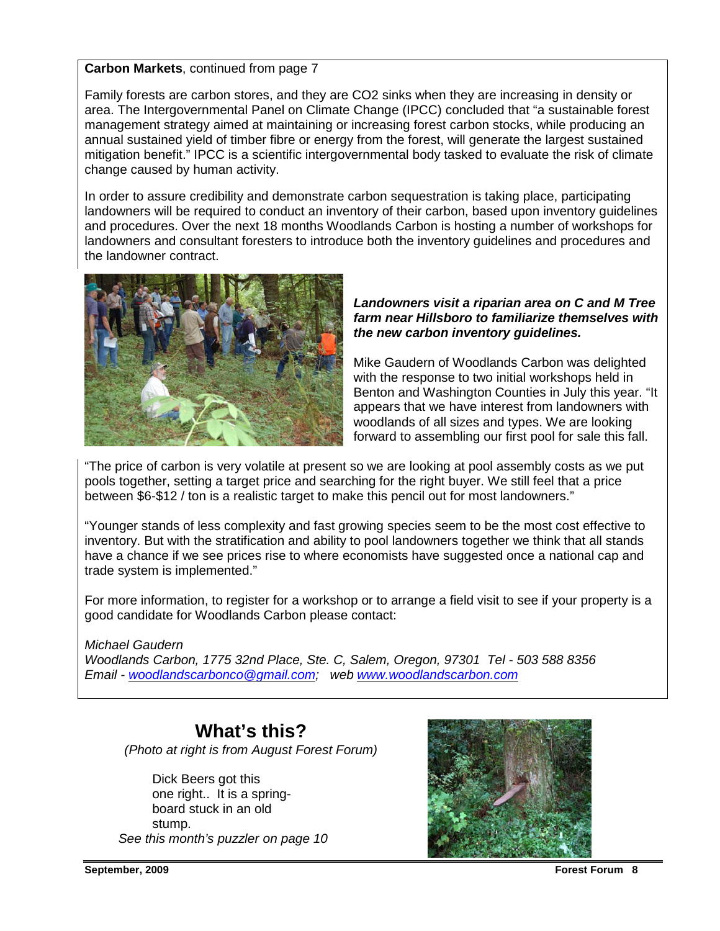#### **Carbon Markets**, continued from page 7

Family forests are carbon stores, and they are CO2 sinks when they are increasing in density or area. The Intergovernmental Panel on Climate Change (IPCC) concluded that "a sustainable forest management strategy aimed at maintaining or increasing forest carbon stocks, while producing an annual sustained yield of timber fibre or energy from the forest, will generate the largest sustained mitigation benefit." IPCC is a scientific intergovernmental body tasked to evaluate the risk of climate change caused by human activity.

In order to assure credibility and demonstrate carbon sequestration is taking place, participating landowners will be required to conduct an inventory of their carbon, based upon inventory guidelines and procedures. Over the next 18 months Woodlands Carbon is hosting a number of workshops for landowners and consultant foresters to introduce both the inventory guidelines and procedures and the landowner contract.



#### **Landowners visit a riparian area on C and M Tree farm near Hillsboro to familiarize themselves with the new carbon inventory guidelines.**

Mike Gaudern of Woodlands Carbon was delighted with the response to two initial workshops held in Benton and Washington Counties in July this year. "It appears that we have interest from landowners with woodlands of all sizes and types. We are looking forward to assembling our first pool for sale this fall.

"The price of carbon is very volatile at present so we are looking at pool assembly costs as we put pools together, setting a target price and searching for the right buyer. We still feel that a price between \$6-\$12 / ton is a realistic target to make this pencil out for most landowners."

"Younger stands of less complexity and fast growing species seem to be the most cost effective to inventory. But with the stratification and ability to pool landowners together we think that all stands have a chance if we see prices rise to where economists have suggested once a national cap and trade system is implemented."

For more information, to register for a workshop or to arrange a field visit to see if your property is a good candidate for Woodlands Carbon please contact:

#### Michael Gaudern

Woodlands Carbon, 1775 32nd Place, Ste. C, Salem, Oregon, 97301 Tel - 503 588 8356 Email - woodlandscarbonco@gmail.com; web www.woodlandscarbon.com

## **What's this?**

(Photo at right is from August Forest Forum)

 Dick Beers got this one right.. It is a spring board stuck in an old stump. See this month's puzzler on page 10

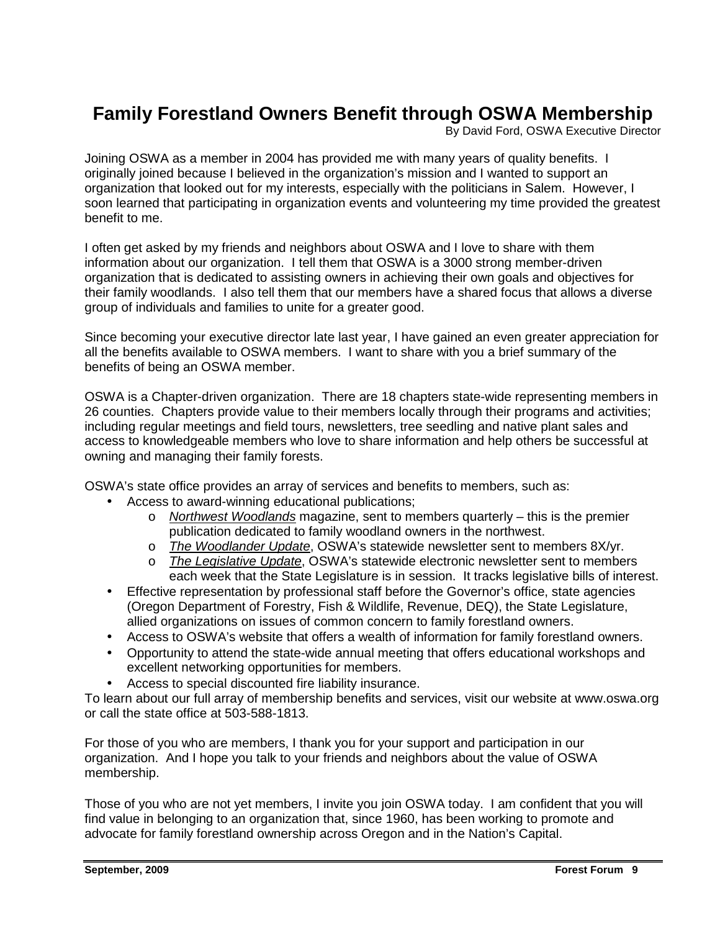## **Family Forestland Owners Benefit through OSWA Membership**

By David Ford, OSWA Executive Director

Joining OSWA as a member in 2004 has provided me with many years of quality benefits. I originally joined because I believed in the organization's mission and I wanted to support an organization that looked out for my interests, especially with the politicians in Salem. However, I soon learned that participating in organization events and volunteering my time provided the greatest benefit to me.

I often get asked by my friends and neighbors about OSWA and I love to share with them information about our organization. I tell them that OSWA is a 3000 strong member-driven organization that is dedicated to assisting owners in achieving their own goals and objectives for their family woodlands. I also tell them that our members have a shared focus that allows a diverse group of individuals and families to unite for a greater good.

Since becoming your executive director late last year, I have gained an even greater appreciation for all the benefits available to OSWA members. I want to share with you a brief summary of the benefits of being an OSWA member.

OSWA is a Chapter-driven organization. There are 18 chapters state-wide representing members in 26 counties. Chapters provide value to their members locally through their programs and activities; including regular meetings and field tours, newsletters, tree seedling and native plant sales and access to knowledgeable members who love to share information and help others be successful at owning and managing their family forests.

OSWA's state office provides an array of services and benefits to members, such as:

- Access to award-winning educational publications;
	- $\circ$  Northwest Woodlands magazine, sent to members quarterly this is the premier publication dedicated to family woodland owners in the northwest.
	- o The Woodlander Update, OSWA's statewide newsletter sent to members 8X/yr.
	- o The Legislative Update, OSWA's statewide electronic newsletter sent to members each week that the State Legislature is in session. It tracks legislative bills of interest.
- Effective representation by professional staff before the Governor's office, state agencies (Oregon Department of Forestry, Fish & Wildlife, Revenue, DEQ), the State Legislature, allied organizations on issues of common concern to family forestland owners.
- Access to OSWA's website that offers a wealth of information for family forestland owners.
- Opportunity to attend the state-wide annual meeting that offers educational workshops and excellent networking opportunities for members.
- Access to special discounted fire liability insurance.

To learn about our full array of membership benefits and services, visit our website at www.oswa.org or call the state office at 503-588-1813.

For those of you who are members, I thank you for your support and participation in our organization. And I hope you talk to your friends and neighbors about the value of OSWA membership.

Those of you who are not yet members, I invite you join OSWA today. I am confident that you will find value in belonging to an organization that, since 1960, has been working to promote and advocate for family forestland ownership across Oregon and in the Nation's Capital.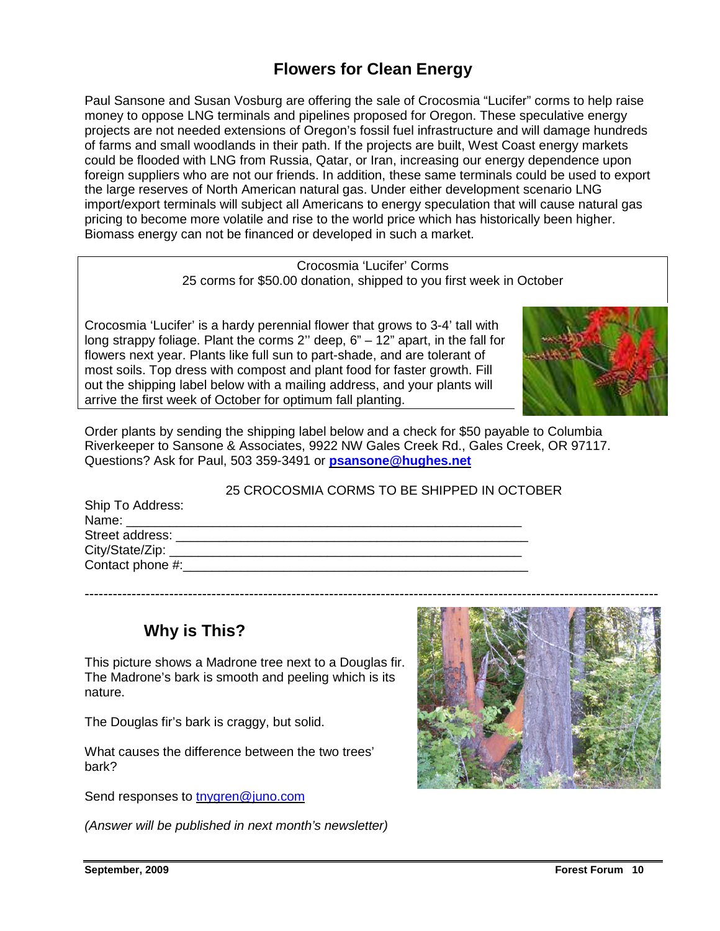## **Flowers for Clean Energy**

Paul Sansone and Susan Vosburg are offering the sale of Crocosmia "Lucifer" corms to help raise money to oppose LNG terminals and pipelines proposed for Oregon. These speculative energy projects are not needed extensions of Oregon's fossil fuel infrastructure and will damage hundreds of farms and small woodlands in their path. If the projects are built, West Coast energy markets could be flooded with LNG from Russia, Qatar, or Iran, increasing our energy dependence upon foreign suppliers who are not our friends. In addition, these same terminals could be used to export the large reserves of North American natural gas. Under either development scenario LNG import/export terminals will subject all Americans to energy speculation that will cause natural gas pricing to become more volatile and rise to the world price which has historically been higher. Biomass energy can not be financed or developed in such a market.

> Crocosmia 'Lucifer' Corms 25 corms for \$50.00 donation, shipped to you first week in October

Crocosmia 'Lucifer' is a hardy perennial flower that grows to 3-4' tall with long strappy foliage. Plant the corms 2'' deep, 6" – 12" apart, in the fall for flowers next year. Plants like full sun to part-shade, and are tolerant of most soils. Top dress with compost and plant food for faster growth. Fill out the shipping label below with a mailing address, and your plants will arrive the first week of October for optimum fall planting.



Order plants by sending the shipping label below and a check for \$50 payable to Columbia Riverkeeper to Sansone & Associates, 9922 NW Gales Creek Rd., Gales Creek, OR 97117. Questions? Ask for Paul, 503 359-3491 or **psansone@hughes.net**

|                                                                                                                                                                                                                                | 25 CROCOSMIA CORMS TO BE SHIPPED IN OCTOBER |  |
|--------------------------------------------------------------------------------------------------------------------------------------------------------------------------------------------------------------------------------|---------------------------------------------|--|
| Ship To Address:                                                                                                                                                                                                               |                                             |  |
| Name: __________________                                                                                                                                                                                                       |                                             |  |
| Street address: The control of the state of the state of the state of the state of the state of the state of the state of the state of the state of the state of the state of the state of the state of the state of the state |                                             |  |
|                                                                                                                                                                                                                                |                                             |  |
|                                                                                                                                                                                                                                |                                             |  |
|                                                                                                                                                                                                                                |                                             |  |

## **Why is This?**

This picture shows a Madrone tree next to a Douglas fir. The Madrone's bark is smooth and peeling which is its nature.

The Douglas fir's bark is craggy, but solid.

What causes the difference between the two trees' bark?

Send responses to tnygren@juno.com

(Answer will be published in next month's newsletter)

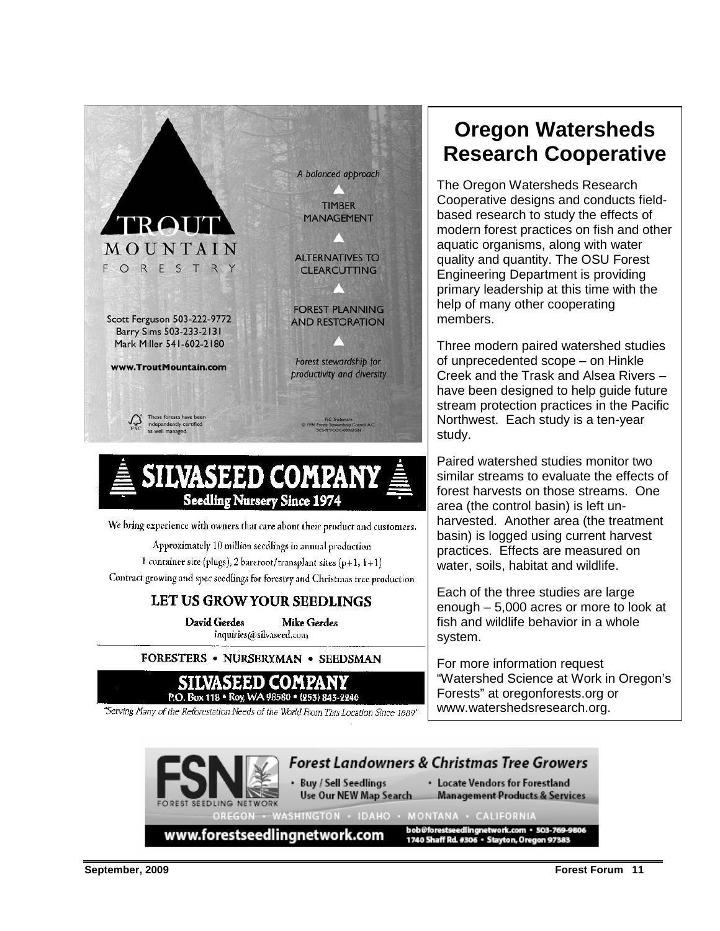

Approximately 10 million seedlings in annual production

1 container site (plugs), 2 bareroot/transplant sites (p+1,  $1+1$ ) Contract growing and spec seedlings for forestry and Christmas tree production

## LET US GROW YOUR SEEDLINGS

David Gerdes **Mike Gerdes** inquiries@silvaseed.com

FORESTERS • NURSERYMAN • SEEDSMAN



"Serving Many of the Reforestation Needs of the World From This Location Since 1889"

## **Oregon Watersheds Research Cooperative**

The Oregon Watersheds Research Cooperative designs and conducts fieldbased research to study the effects of modern forest practices on fish and other aquatic organisms, along with water quality and quantity. The OSU Forest Engineering Department is providing primary leadership at this time with the help of many other cooperating members.

Three modern paired watershed studies of unprecedented scope – on Hinkle Creek and the Trask and Alsea Rivers – have been designed to help guide future stream protection practices in the Pacific Northwest. Each study is a ten-year study.

Paired watershed studies monitor two similar streams to evaluate the effects of forest harvests on those streams. One area (the control basin) is left unharvested. Another area (the treatment basin) is logged using current harvest practices. Effects are measured on water, soils, habitat and wildlife.

Each of the three studies are large enough – 5,000 acres or more to look at fish and wildlife behavior in a whole system.

For more information request "Watershed Science at Work in Oregon's Forests" at oregonforests.org or www.watershedsresearch.org.